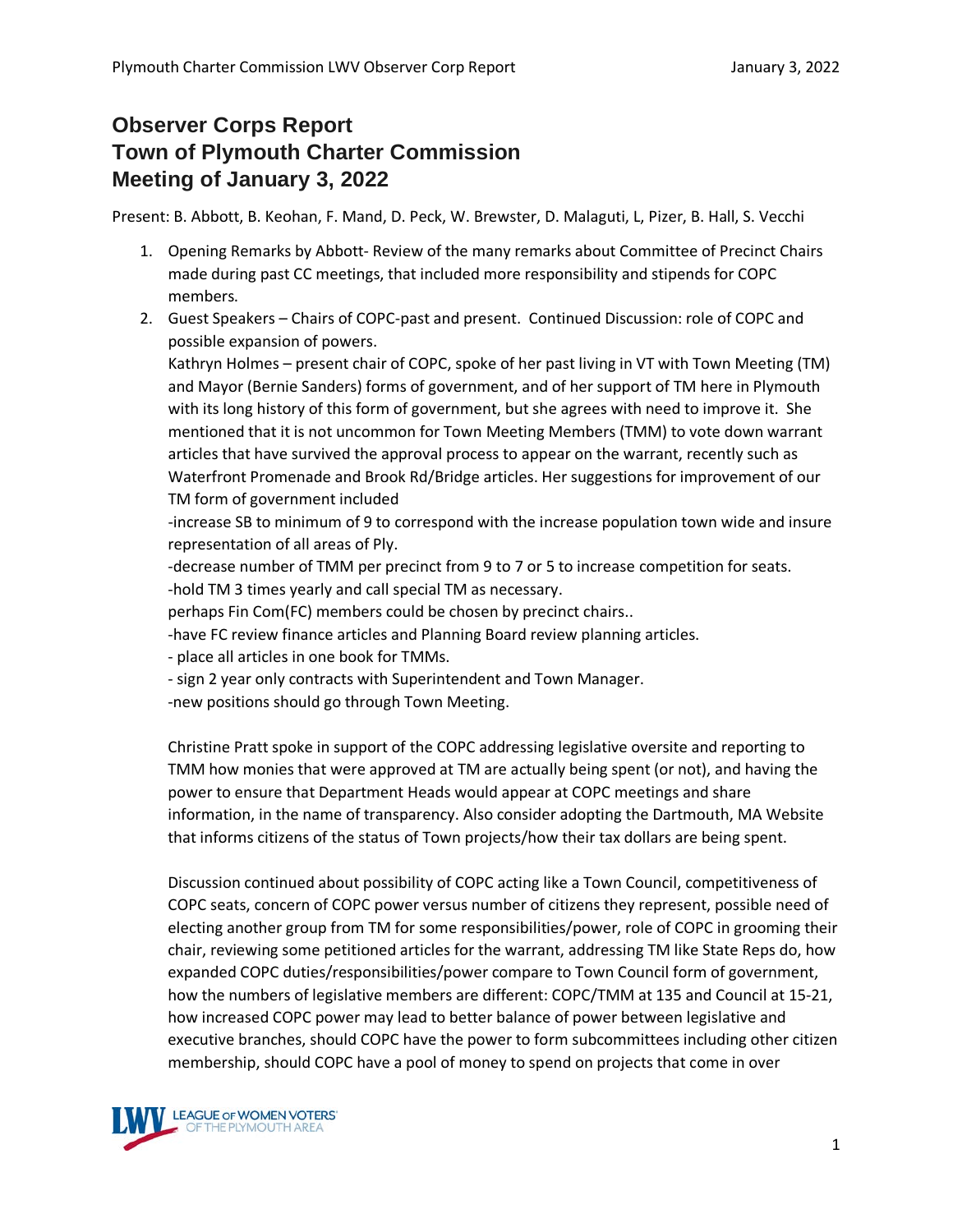## **Observer Corps Report Town of Plymouth Charter Commission Meeting of January 3, 2022**

Present: B. Abbott, B. Keohan, F. Mand, D. Peck, W. Brewster, D. Malaguti, L, Pizer, B. Hall, S. Vecchi

- 1. Opening Remarks by Abbott- Review of the many remarks about Committee of Precinct Chairs made during past CC meetings, that included more responsibility and stipends for COPC members.
- 2. Guest Speakers Chairs of COPC-past and present. Continued Discussion: role of COPC and possible expansion of powers.

Kathryn Holmes – present chair of COPC, spoke of her past living in VT with Town Meeting (TM) and Mayor (Bernie Sanders) forms of government, and of her support of TM here in Plymouth with its long history of this form of government, but she agrees with need to improve it. She mentioned that it is not uncommon for Town Meeting Members (TMM) to vote down warrant articles that have survived the approval process to appear on the warrant, recently such as Waterfront Promenade and Brook Rd/Bridge articles. Her suggestions for improvement of our TM form of government included

-increase SB to minimum of 9 to correspond with the increase population town wide and insure representation of all areas of Ply.

-decrease number of TMM per precinct from 9 to 7 or 5 to increase competition for seats. -hold TM 3 times yearly and call special TM as necessary.

perhaps Fin Com(FC) members could be chosen by precinct chairs..

-have FC review finance articles and Planning Board review planning articles.

- place all articles in one book for TMMs.
- sign 2 year only contracts with Superintendent and Town Manager.
- -new positions should go through Town Meeting.

Christine Pratt spoke in support of the COPC addressing legislative oversite and reporting to TMM how monies that were approved at TM are actually being spent (or not), and having the power to ensure that Department Heads would appear at COPC meetings and share information, in the name of transparency. Also consider adopting the Dartmouth, MA Website that informs citizens of the status of Town projects/how their tax dollars are being spent.

Discussion continued about possibility of COPC acting like a Town Council, competitiveness of COPC seats, concern of COPC power versus number of citizens they represent, possible need of electing another group from TM for some responsibilities/power, role of COPC in grooming their chair, reviewing some petitioned articles for the warrant, addressing TM like State Reps do, how expanded COPC duties/responsibilities/power compare to Town Council form of government, how the numbers of legislative members are different: COPC/TMM at 135 and Council at 15-21, how increased COPC power may lead to better balance of power between legislative and executive branches, should COPC have the power to form subcommittees including other citizen membership, should COPC have a pool of money to spend on projects that come in over

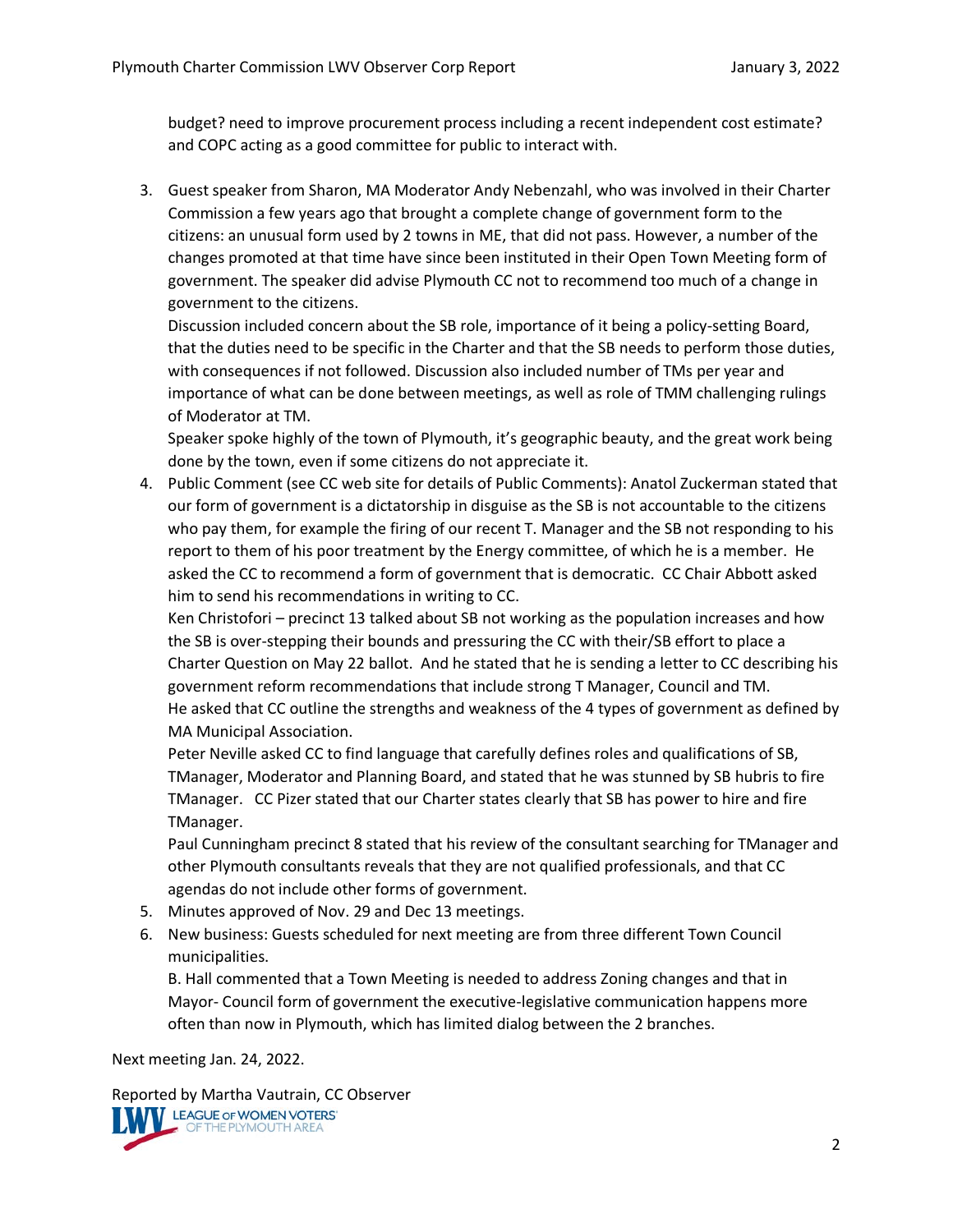budget? need to improve procurement process including a recent independent cost estimate? and COPC acting as a good committee for public to interact with.

3. Guest speaker from Sharon, MA Moderator Andy Nebenzahl, who was involved in their Charter Commission a few years ago that brought a complete change of government form to the citizens: an unusual form used by 2 towns in ME, that did not pass. However, a number of the changes promoted at that time have since been instituted in their Open Town Meeting form of government. The speaker did advise Plymouth CC not to recommend too much of a change in government to the citizens.

Discussion included concern about the SB role, importance of it being a policy-setting Board, that the duties need to be specific in the Charter and that the SB needs to perform those duties, with consequences if not followed. Discussion also included number of TMs per year and importance of what can be done between meetings, as well as role of TMM challenging rulings of Moderator at TM.

Speaker spoke highly of the town of Plymouth, it's geographic beauty, and the great work being done by the town, even if some citizens do not appreciate it.

4. Public Comment (see CC web site for details of Public Comments): Anatol Zuckerman stated that our form of government is a dictatorship in disguise as the SB is not accountable to the citizens who pay them, for example the firing of our recent T. Manager and the SB not responding to his report to them of his poor treatment by the Energy committee, of which he is a member. He asked the CC to recommend a form of government that is democratic. CC Chair Abbott asked him to send his recommendations in writing to CC.

Ken Christofori – precinct 13 talked about SB not working as the population increases and how the SB is over-stepping their bounds and pressuring the CC with their/SB effort to place a Charter Question on May 22 ballot. And he stated that he is sending a letter to CC describing his government reform recommendations that include strong T Manager, Council and TM. He asked that CC outline the strengths and weakness of the 4 types of government as defined by MA Municipal Association.

Peter Neville asked CC to find language that carefully defines roles and qualifications of SB, TManager, Moderator and Planning Board, and stated that he was stunned by SB hubris to fire TManager. CC Pizer stated that our Charter states clearly that SB has power to hire and fire TManager.

Paul Cunningham precinct 8 stated that his review of the consultant searching for TManager and other Plymouth consultants reveals that they are not qualified professionals, and that CC agendas do not include other forms of government.

- 5. Minutes approved of Nov. 29 and Dec 13 meetings.
- 6. New business: Guests scheduled for next meeting are from three different Town Council municipalities.

B. Hall commented that a Town Meeting is needed to address Zoning changes and that in Mayor- Council form of government the executive-legislative communication happens more often than now in Plymouth, which has limited dialog between the 2 branches.

Next meeting Jan. 24, 2022.

Reported by Martha Vautrain, CC Observer<br>
IMMI LEAGUE OF WOMEN VOTERS'